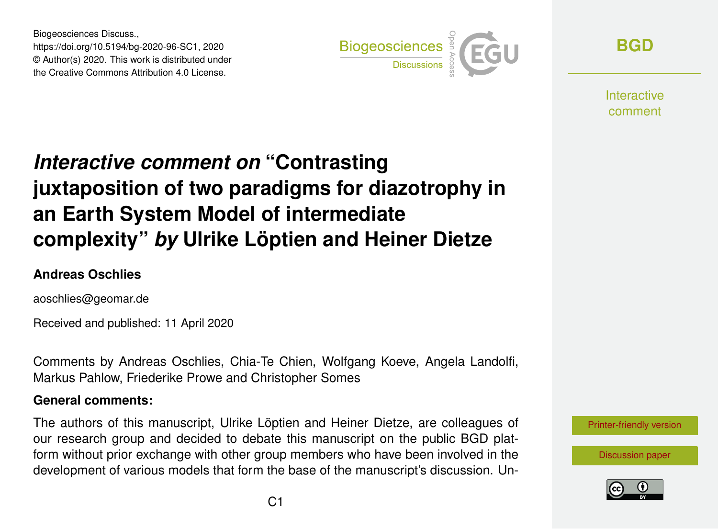Biogeosciences Discuss., https://doi.org/10.5194/bg-2020-96-SC1, 2020 © Author(s) 2020. This work is distributed under the Creative Commons Attribution 4.0 License.



**[BGD](https://www.biogeosciences-discuss.net/)**

**Interactive** comment

# *Interactive comment on* **"Contrasting juxtaposition of two paradigms for diazotrophy in an Earth System Model of intermediate complexity"** *by* **Ulrike Löptien and Heiner Dietze**

#### **Andreas Oschlies**

aoschlies@geomar.de

Received and published: 11 April 2020

Comments by Andreas Oschlies, Chia-Te Chien, Wolfgang Koeve, Angela Landolfi, Markus Pahlow, Friederike Prowe and Christopher Somes

#### **General comments:**

The authors of this manuscript, Ulrike Löptien and Heiner Dietze, are colleagues of our research group and decided to debate this manuscript on the public BGD platform without prior exchange with other group members who have been involved in the development of various models that form the base of the manuscript's discussion. Un-

[Printer-friendly version](https://www.biogeosciences-discuss.net/bg-2020-96/bg-2020-96-SC1-print.pdf)

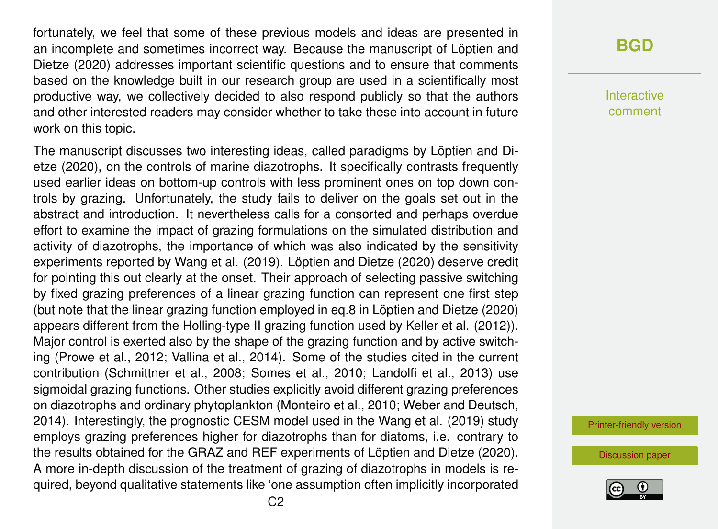fortunately, we feel that some of these previous models and ideas are presented in an incomplete and sometimes incorrect way. Because the manuscript of Löptien and Dietze (2020) addresses important scientific questions and to ensure that comments based on the knowledge built in our research group are used in a scientifically most productive way, we collectively decided to also respond publicly so that the authors and other interested readers may consider whether to take these into account in future work on this topic.

The manuscript discusses two interesting ideas, called paradigms by Löptien and Dietze (2020), on the controls of marine diazotrophs. It specifically contrasts frequently used earlier ideas on bottom-up controls with less prominent ones on top down controls by grazing. Unfortunately, the study fails to deliver on the goals set out in the abstract and introduction. It nevertheless calls for a consorted and perhaps overdue effort to examine the impact of grazing formulations on the simulated distribution and activity of diazotrophs, the importance of which was also indicated by the sensitivity experiments reported by Wang et al. (2019). Löptien and Dietze (2020) deserve credit for pointing this out clearly at the onset. Their approach of selecting passive switching by fixed grazing preferences of a linear grazing function can represent one first step (but note that the linear grazing function employed in eq.8 in Löptien and Dietze (2020) appears different from the Holling-type II grazing function used by Keller et al. (2012)). Major control is exerted also by the shape of the grazing function and by active switching (Prowe et al., 2012; Vallina et al., 2014). Some of the studies cited in the current contribution (Schmittner et al., 2008; Somes et al., 2010; Landolfi et al., 2013) use sigmoidal grazing functions. Other studies explicitly avoid different grazing preferences on diazotrophs and ordinary phytoplankton (Monteiro et al., 2010; Weber and Deutsch, 2014). Interestingly, the prognostic CESM model used in the Wang et al. (2019) study employs grazing preferences higher for diazotrophs than for diatoms, i.e. contrary to the results obtained for the GRAZ and REF experiments of Löptien and Dietze (2020). A more in-depth discussion of the treatment of grazing of diazotrophs in models is required, beyond qualitative statements like 'one assumption often implicitly incorporated

#### **[BGD](https://www.biogeosciences-discuss.net/)**

Interactive comment

[Printer-friendly version](https://www.biogeosciences-discuss.net/bg-2020-96/bg-2020-96-SC1-print.pdf)

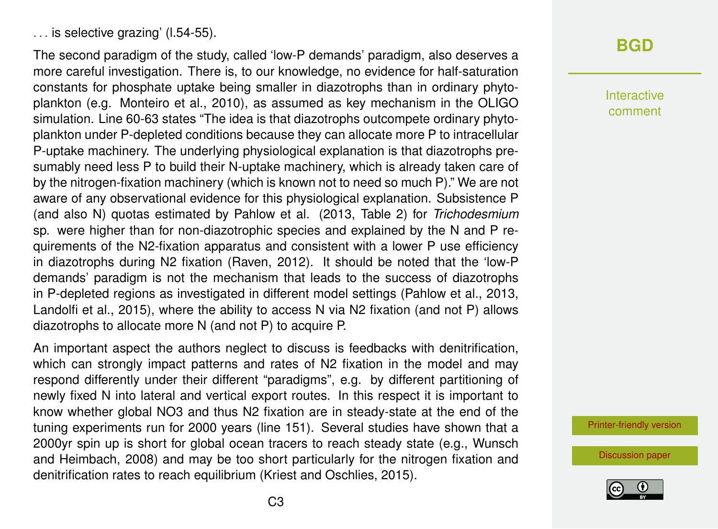The second paradigm of the study, called 'low-P demands' paradigm, also deserves a more careful investigation. There is, to our knowledge, no evidence for half-saturation constants for phosphate uptake being smaller in diazotrophs than in ordinary phytoplankton (e.g. Monteiro et al., 2010), as assumed as key mechanism in the OLIGO simulation. Line 60-63 states "The idea is that diazotrophs outcompete ordinary phytoplankton under P-depleted conditions because they can allocate more P to intracellular P-uptake machinery. The underlying physiological explanation is that diazotrophs presumably need less P to build their N-uptake machinery, which is already taken care of by the nitrogen-fixation machinery (which is known not to need so much P)." We are not aware of any observational evidence for this physiological explanation. Subsistence P (and also N) quotas estimated by Pahlow et al. (2013, Table 2) for *Trichodesmium* sp. were higher than for non-diazotrophic species and explained by the N and P requirements of the N2-fixation apparatus and consistent with a lower P use efficiency in diazotrophs during N2 fixation (Raven, 2012). It should be noted that the 'low-P demands' paradigm is not the mechanism that leads to the success of diazotrophs in P-depleted regions as investigated in different model settings (Pahlow et al., 2013, Landolfi et al., 2015), where the ability to access N via N2 fixation (and not P) allows diazotrophs to allocate more N (and not P) to acquire P.

An important aspect the authors neglect to discuss is feedbacks with denitrification, which can strongly impact patterns and rates of N2 fixation in the model and may respond differently under their different "paradigms", e.g. by different partitioning of newly fixed N into lateral and vertical export routes. In this respect it is important to know whether global NO3 and thus N2 fixation are in steady-state at the end of the tuning experiments run for 2000 years (line 151). Several studies have shown that a 2000yr spin up is short for global ocean tracers to reach steady state (e.g., Wunsch and Heimbach, 2008) and may be too short particularly for the nitrogen fixation and denitrification rates to reach equilibrium (Kriest and Oschlies, 2015).

## **[BGD](https://www.biogeosciences-discuss.net/)**

Interactive comment

[Printer-friendly version](https://www.biogeosciences-discuss.net/bg-2020-96/bg-2020-96-SC1-print.pdf)

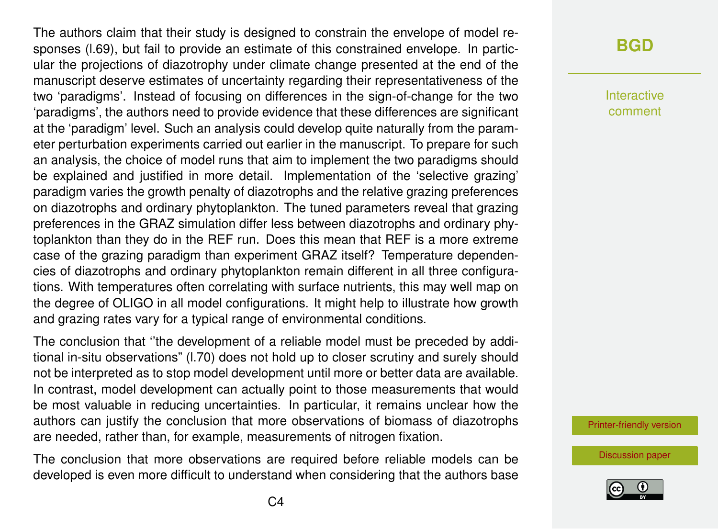The authors claim that their study is designed to constrain the envelope of model responses (l.69), but fail to provide an estimate of this constrained envelope. In particular the projections of diazotrophy under climate change presented at the end of the manuscript deserve estimates of uncertainty regarding their representativeness of the two 'paradigms'. Instead of focusing on differences in the sign-of-change for the two 'paradigms', the authors need to provide evidence that these differences are significant at the 'paradigm' level. Such an analysis could develop quite naturally from the parameter perturbation experiments carried out earlier in the manuscript. To prepare for such an analysis, the choice of model runs that aim to implement the two paradigms should be explained and justified in more detail. Implementation of the 'selective grazing' paradigm varies the growth penalty of diazotrophs and the relative grazing preferences on diazotrophs and ordinary phytoplankton. The tuned parameters reveal that grazing preferences in the GRAZ simulation differ less between diazotrophs and ordinary phytoplankton than they do in the REF run. Does this mean that REF is a more extreme case of the grazing paradigm than experiment GRAZ itself? Temperature dependencies of diazotrophs and ordinary phytoplankton remain different in all three configurations. With temperatures often correlating with surface nutrients, this may well map on the degree of OLIGO in all model configurations. It might help to illustrate how growth and grazing rates vary for a typical range of environmental conditions.

The conclusion that ''the development of a reliable model must be preceded by additional in-situ observations" (l.70) does not hold up to closer scrutiny and surely should not be interpreted as to stop model development until more or better data are available. In contrast, model development can actually point to those measurements that would be most valuable in reducing uncertainties. In particular, it remains unclear how the authors can justify the conclusion that more observations of biomass of diazotrophs are needed, rather than, for example, measurements of nitrogen fixation.

The conclusion that more observations are required before reliable models can be developed is even more difficult to understand when considering that the authors base

#### **[BGD](https://www.biogeosciences-discuss.net/)**

Interactive comment

[Printer-friendly version](https://www.biogeosciences-discuss.net/bg-2020-96/bg-2020-96-SC1-print.pdf)

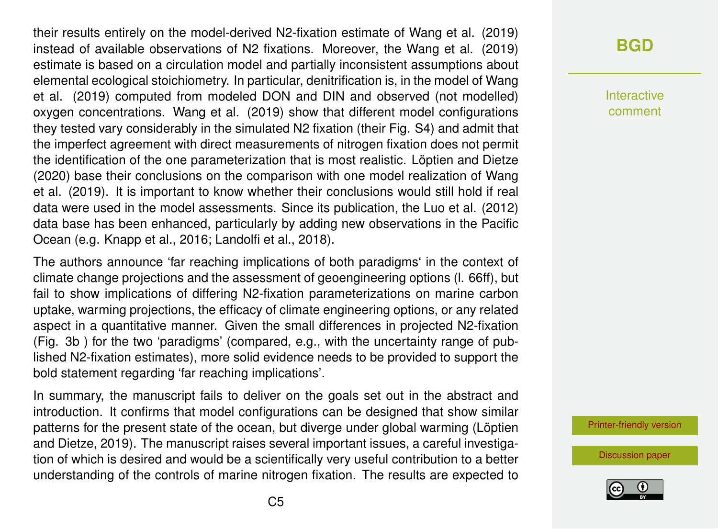their results entirely on the model-derived N2-fixation estimate of Wang et al. (2019) instead of available observations of N2 fixations. Moreover, the Wang et al. (2019) estimate is based on a circulation model and partially inconsistent assumptions about elemental ecological stoichiometry. In particular, denitrification is, in the model of Wang et al. (2019) computed from modeled DON and DIN and observed (not modelled) oxygen concentrations. Wang et al. (2019) show that different model configurations they tested vary considerably in the simulated N2 fixation (their Fig. S4) and admit that the imperfect agreement with direct measurements of nitrogen fixation does not permit the identification of the one parameterization that is most realistic. Löptien and Dietze (2020) base their conclusions on the comparison with one model realization of Wang et al. (2019). It is important to know whether their conclusions would still hold if real data were used in the model assessments. Since its publication, the Luo et al. (2012) data base has been enhanced, particularly by adding new observations in the Pacific Ocean (e.g. Knapp et al., 2016; Landolfi et al., 2018).

The authors announce 'far reaching implications of both paradigms' in the context of climate change projections and the assessment of geoengineering options (l. 66ff), but fail to show implications of differing N2-fixation parameterizations on marine carbon uptake, warming projections, the efficacy of climate engineering options, or any related aspect in a quantitative manner. Given the small differences in projected N2-fixation (Fig. 3b ) for the two 'paradigms' (compared, e.g., with the uncertainty range of published N2-fixation estimates), more solid evidence needs to be provided to support the bold statement regarding 'far reaching implications'.

In summary, the manuscript fails to deliver on the goals set out in the abstract and introduction. It confirms that model configurations can be designed that show similar patterns for the present state of the ocean, but diverge under global warming (Löptien and Dietze, 2019). The manuscript raises several important issues, a careful investigation of which is desired and would be a scientifically very useful contribution to a better understanding of the controls of marine nitrogen fixation. The results are expected to

### **[BGD](https://www.biogeosciences-discuss.net/)**

Interactive comment

[Printer-friendly version](https://www.biogeosciences-discuss.net/bg-2020-96/bg-2020-96-SC1-print.pdf)

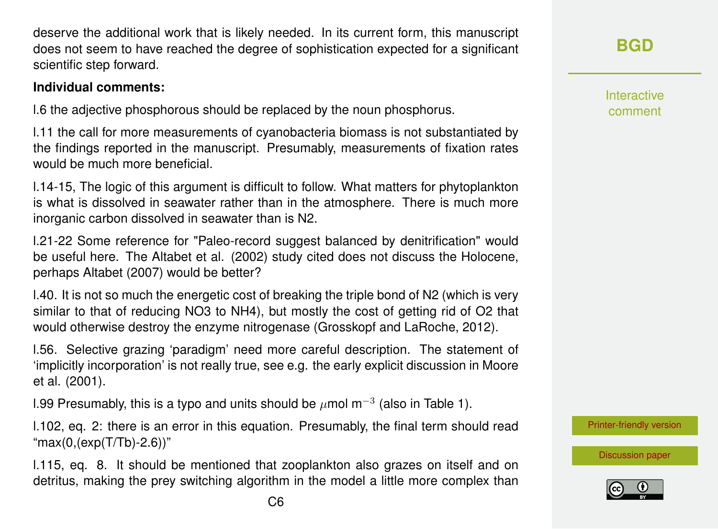deserve the additional work that is likely needed. In its current form, this manuscript does not seem to have reached the degree of sophistication expected for a significant scientific step forward.

#### **Individual comments:**

l.6 the adjective phosphorous should be replaced by the noun phosphorus.

l.11 the call for more measurements of cyanobacteria biomass is not substantiated by the findings reported in the manuscript. Presumably, measurements of fixation rates would be much more beneficial.

l.14-15, The logic of this argument is difficult to follow. What matters for phytoplankton is what is dissolved in seawater rather than in the atmosphere. There is much more inorganic carbon dissolved in seawater than is N2.

l.21-22 Some reference for "Paleo-record suggest balanced by denitrification" would be useful here. The Altabet et al. (2002) study cited does not discuss the Holocene, perhaps Altabet (2007) would be better?

l.40. It is not so much the energetic cost of breaking the triple bond of N2 (which is very similar to that of reducing NO3 to NH4), but mostly the cost of getting rid of O2 that would otherwise destroy the enzyme nitrogenase (Grosskopf and LaRoche, 2012).

l.56. Selective grazing 'paradigm' need more careful description. The statement of 'implicitly incorporation' is not really true, see e.g. the early explicit discussion in Moore et al. (2001).

l.99 Presumably, this is a typo and units should be  $\mu$ mol m<sup>-3</sup> (also in Table 1).

l.102, eq. 2: there is an error in this equation. Presumably, the final term should read  $"max(0,(exp(T/Tb)-2.6))"$ 

l.115, eq. 8. It should be mentioned that zooplankton also grazes on itself and on detritus, making the prey switching algorithm in the model a little more complex than **[BGD](https://www.biogeosciences-discuss.net/)**

**Interactive** comment

[Printer-friendly version](https://www.biogeosciences-discuss.net/bg-2020-96/bg-2020-96-SC1-print.pdf)

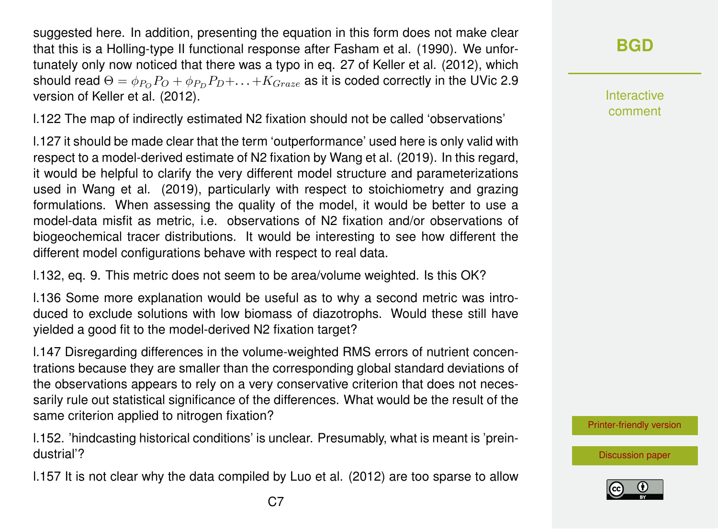suggested here. In addition, presenting the equation in this form does not make clear that this is a Holling-type II functional response after Fasham et al. (1990). We unfortunately only now noticed that there was a typo in eq. 27 of Keller et al. (2012), which should read  $\Theta = \phi_{P_O} P_O + \phi_{P_D} P_D + \ldots + K_{Graze}$  as it is coded correctly in the UVic 2.9 version of Keller et al. (2012).

l.122 The map of indirectly estimated N2 fixation should not be called 'observations'

l.127 it should be made clear that the term 'outperformance' used here is only valid with respect to a model-derived estimate of N2 fixation by Wang et al. (2019). In this regard, it would be helpful to clarify the very different model structure and parameterizations used in Wang et al. (2019), particularly with respect to stoichiometry and grazing formulations. When assessing the quality of the model, it would be better to use a model-data misfit as metric, i.e. observations of N2 fixation and/or observations of biogeochemical tracer distributions. It would be interesting to see how different the different model configurations behave with respect to real data.

l.132, eq. 9. This metric does not seem to be area/volume weighted. Is this OK?

l.136 Some more explanation would be useful as to why a second metric was introduced to exclude solutions with low biomass of diazotrophs. Would these still have yielded a good fit to the model-derived N2 fixation target?

l.147 Disregarding differences in the volume-weighted RMS errors of nutrient concentrations because they are smaller than the corresponding global standard deviations of the observations appears to rely on a very conservative criterion that does not necessarily rule out statistical significance of the differences. What would be the result of the same criterion applied to nitrogen fixation?

l.152. 'hindcasting historical conditions' is unclear. Presumably, what is meant is 'preindustrial'?

l.157 It is not clear why the data compiled by Luo et al. (2012) are too sparse to allow

Interactive comment

[Printer-friendly version](https://www.biogeosciences-discuss.net/bg-2020-96/bg-2020-96-SC1-print.pdf)

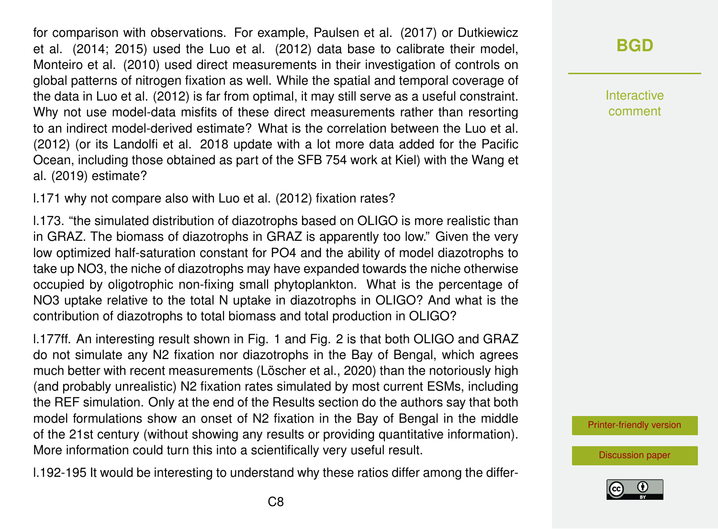for comparison with observations. For example, Paulsen et al. (2017) or Dutkiewicz et al. (2014; 2015) used the Luo et al. (2012) data base to calibrate their model, Monteiro et al. (2010) used direct measurements in their investigation of controls on global patterns of nitrogen fixation as well. While the spatial and temporal coverage of the data in Luo et al. (2012) is far from optimal, it may still serve as a useful constraint. Why not use model-data misfits of these direct measurements rather than resorting to an indirect model-derived estimate? What is the correlation between the Luo et al. (2012) (or its Landolfi et al. 2018 update with a lot more data added for the Pacific Ocean, including those obtained as part of the SFB 754 work at Kiel) with the Wang et al. (2019) estimate?

l.171 why not compare also with Luo et al. (2012) fixation rates?

l.173. "the simulated distribution of diazotrophs based on OLIGO is more realistic than in GRAZ. The biomass of diazotrophs in GRAZ is apparently too low." Given the very low optimized half-saturation constant for PO4 and the ability of model diazotrophs to take up NO3, the niche of diazotrophs may have expanded towards the niche otherwise occupied by oligotrophic non-fixing small phytoplankton. What is the percentage of NO3 uptake relative to the total N uptake in diazotrophs in OLIGO? And what is the contribution of diazotrophs to total biomass and total production in OLIGO?

l.177ff. An interesting result shown in Fig. 1 and Fig. 2 is that both OLIGO and GRAZ do not simulate any N2 fixation nor diazotrophs in the Bay of Bengal, which agrees much better with recent measurements (Löscher et al., 2020) than the notoriously high (and probably unrealistic) N2 fixation rates simulated by most current ESMs, including the REF simulation. Only at the end of the Results section do the authors say that both model formulations show an onset of N2 fixation in the Bay of Bengal in the middle of the 21st century (without showing any results or providing quantitative information). More information could turn this into a scientifically very useful result.

l.192-195 It would be interesting to understand why these ratios differ among the differ-

## **[BGD](https://www.biogeosciences-discuss.net/)**

Interactive comment

[Printer-friendly version](https://www.biogeosciences-discuss.net/bg-2020-96/bg-2020-96-SC1-print.pdf)

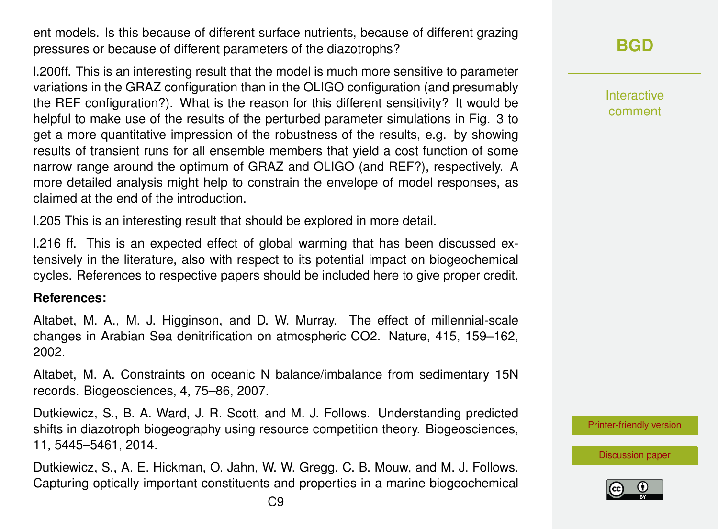ent models. Is this because of different surface nutrients, because of different grazing pressures or because of different parameters of the diazotrophs?

l.200ff. This is an interesting result that the model is much more sensitive to parameter variations in the GRAZ configuration than in the OLIGO configuration (and presumably the REF configuration?). What is the reason for this different sensitivity? It would be helpful to make use of the results of the perturbed parameter simulations in Fig. 3 to get a more quantitative impression of the robustness of the results, e.g. by showing results of transient runs for all ensemble members that yield a cost function of some narrow range around the optimum of GRAZ and OLIGO (and REF?), respectively. A more detailed analysis might help to constrain the envelope of model responses, as claimed at the end of the introduction.

l.205 This is an interesting result that should be explored in more detail.

l.216 ff. This is an expected effect of global warming that has been discussed extensively in the literature, also with respect to its potential impact on biogeochemical cycles. References to respective papers should be included here to give proper credit.

#### **References:**

Altabet, M. A., M. J. Higginson, and D. W. Murray. The effect of millennial-scale changes in Arabian Sea denitrification on atmospheric CO2. Nature, 415, 159–162, 2002.

Altabet, M. A. Constraints on oceanic N balance/imbalance from sedimentary 15N records. Biogeosciences, 4, 75–86, 2007.

Dutkiewicz, S., B. A. Ward, J. R. Scott, and M. J. Follows. Understanding predicted shifts in diazotroph biogeography using resource competition theory. Biogeosciences, 11, 5445–5461, 2014.

Dutkiewicz, S., A. E. Hickman, O. Jahn, W. W. Gregg, C. B. Mouw, and M. J. Follows. Capturing optically important constituents and properties in a marine biogeochemical Interactive comment

[Printer-friendly version](https://www.biogeosciences-discuss.net/bg-2020-96/bg-2020-96-SC1-print.pdf)

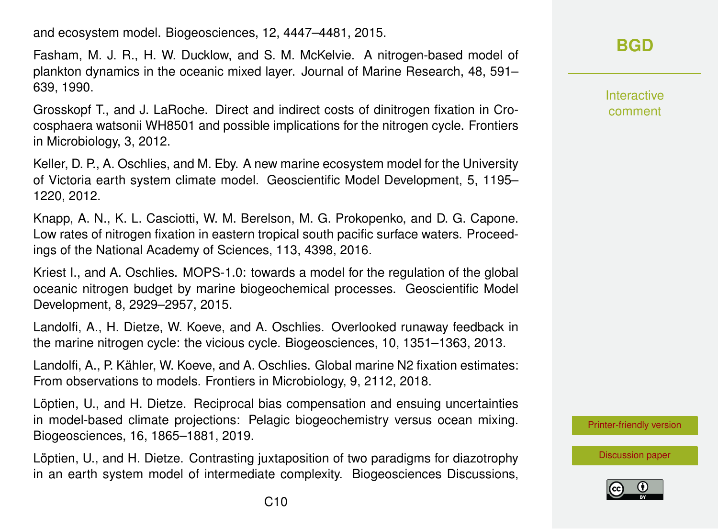and ecosystem model. Biogeosciences, 12, 4447–4481, 2015.

Fasham, M. J. R., H. W. Ducklow, and S. M. McKelvie. A nitrogen-based model of plankton dynamics in the oceanic mixed layer. Journal of Marine Research, 48, 591– 639, 1990.

Grosskopf T., and J. LaRoche. Direct and indirect costs of dinitrogen fixation in Crocosphaera watsonii WH8501 and possible implications for the nitrogen cycle. Frontiers in Microbiology, 3, 2012.

Keller, D. P., A. Oschlies, and M. Eby. A new marine ecosystem model for the University of Victoria earth system climate model. Geoscientific Model Development, 5, 1195– 1220, 2012.

Knapp, A. N., K. L. Casciotti, W. M. Berelson, M. G. Prokopenko, and D. G. Capone. Low rates of nitrogen fixation in eastern tropical south pacific surface waters. Proceedings of the National Academy of Sciences, 113, 4398, 2016.

Kriest I., and A. Oschlies. MOPS-1.0: towards a model for the regulation of the global oceanic nitrogen budget by marine biogeochemical processes. Geoscientific Model Development, 8, 2929–2957, 2015.

Landolfi, A., H. Dietze, W. Koeve, and A. Oschlies. Overlooked runaway feedback in the marine nitrogen cycle: the vicious cycle. Biogeosciences, 10, 1351–1363, 2013.

Landolfi, A., P. Kähler, W. Koeve, and A. Oschlies. Global marine N2 fixation estimates: From observations to models. Frontiers in Microbiology, 9, 2112, 2018.

Löptien, U., and H. Dietze. Reciprocal bias compensation and ensuing uncertainties in model-based climate projections: Pelagic biogeochemistry versus ocean mixing. Biogeosciences, 16, 1865–1881, 2019.

Löptien, U., and H. Dietze. Contrasting juxtaposition of two paradigms for diazotrophy in an earth system model of intermediate complexity. Biogeosciences Discussions,

### **[BGD](https://www.biogeosciences-discuss.net/)**

Interactive comment

[Printer-friendly version](https://www.biogeosciences-discuss.net/bg-2020-96/bg-2020-96-SC1-print.pdf)

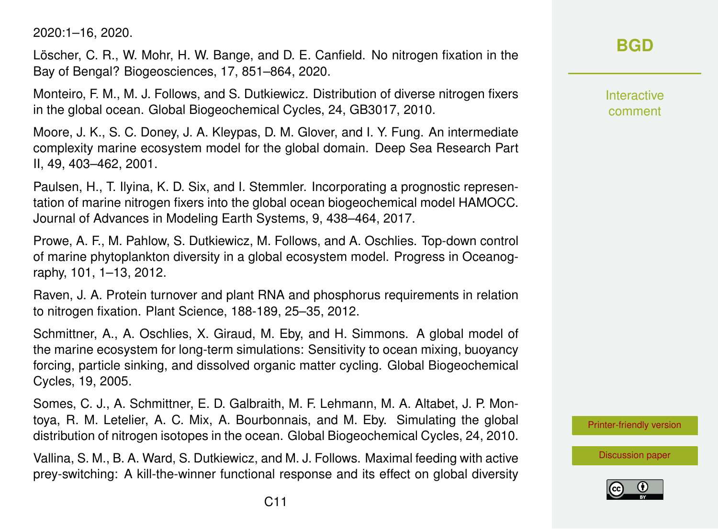2020:1–16, 2020.

Löscher, C. R., W. Mohr, H. W. Bange, and D. E. Canfield. No nitrogen fixation in the Bay of Bengal? Biogeosciences, 17, 851–864, 2020.

Monteiro, F. M., M. J. Follows, and S. Dutkiewicz. Distribution of diverse nitrogen fixers in the global ocean. Global Biogeochemical Cycles, 24, GB3017, 2010.

Moore, J. K., S. C. Doney, J. A. Kleypas, D. M. Glover, and I. Y. Fung. An intermediate complexity marine ecosystem model for the global domain. Deep Sea Research Part II, 49, 403–462, 2001.

Paulsen, H., T. Ilyina, K. D. Six, and I. Stemmler. Incorporating a prognostic representation of marine nitrogen fixers into the global ocean biogeochemical model HAMOCC. Journal of Advances in Modeling Earth Systems, 9, 438–464, 2017.

Prowe, A. F., M. Pahlow, S. Dutkiewicz, M. Follows, and A. Oschlies. Top-down control of marine phytoplankton diversity in a global ecosystem model. Progress in Oceanography, 101, 1–13, 2012.

Raven, J. A. Protein turnover and plant RNA and phosphorus requirements in relation to nitrogen fixation. Plant Science, 188-189, 25–35, 2012.

Schmittner, A., A. Oschlies, X. Giraud, M. Eby, and H. Simmons. A global model of the marine ecosystem for long-term simulations: Sensitivity to ocean mixing, buoyancy forcing, particle sinking, and dissolved organic matter cycling. Global Biogeochemical Cycles, 19, 2005.

Somes, C. J., A. Schmittner, E. D. Galbraith, M. F. Lehmann, M. A. Altabet, J. P. Montoya, R. M. Letelier, A. C. Mix, A. Bourbonnais, and M. Eby. Simulating the global distribution of nitrogen isotopes in the ocean. Global Biogeochemical Cycles, 24, 2010.

Vallina, S. M., B. A. Ward, S. Dutkiewicz, and M. J. Follows. Maximal feeding with active prey-switching: A kill-the-winner functional response and its effect on global diversity Interactive comment

[Printer-friendly version](https://www.biogeosciences-discuss.net/bg-2020-96/bg-2020-96-SC1-print.pdf)